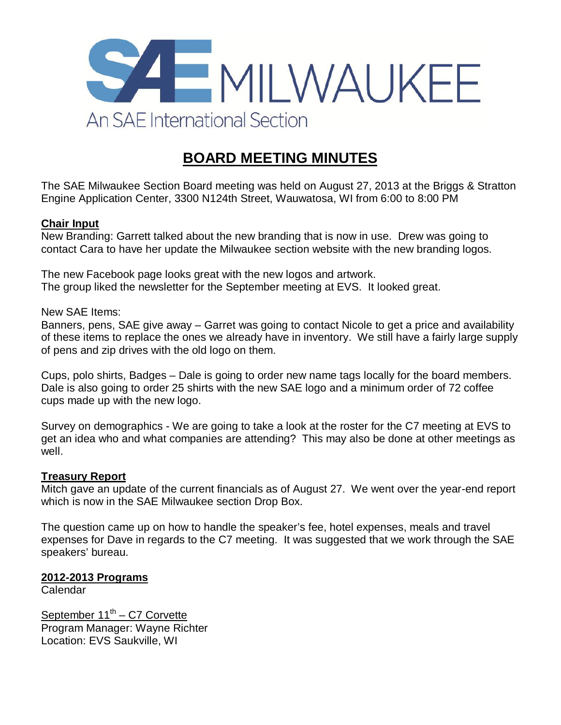

# **BOARD MEETING MINUTES**

The SAE Milwaukee Section Board meeting was held on August 27, 2013 at the Briggs & Stratton Engine Application Center, 3300 N124th Street, Wauwatosa, WI from 6:00 to 8:00 PM

## **Chair Input**

New Branding: Garrett talked about the new branding that is now in use. Drew was going to contact Cara to have her update the Milwaukee section website with the new branding logos.

The new Facebook page looks great with the new logos and artwork. The group liked the newsletter for the September meeting at EVS. It looked great.

New SAE Items:

Banners, pens, SAE give away – Garret was going to contact Nicole to get a price and availability of these items to replace the ones we already have in inventory. We still have a fairly large supply of pens and zip drives with the old logo on them.

Cups, polo shirts, Badges – Dale is going to order new name tags locally for the board members. Dale is also going to order 25 shirts with the new SAE logo and a minimum order of 72 coffee cups made up with the new logo.

Survey on demographics - We are going to take a look at the roster for the C7 meeting at EVS to get an idea who and what companies are attending? This may also be done at other meetings as well.

#### **Treasury Report**

Mitch gave an update of the current financials as of August 27. We went over the year-end report which is now in the SAE Milwaukee section Drop Box.

The question came up on how to handle the speaker's fee, hotel expenses, meals and travel expenses for Dave in regards to the C7 meeting. It was suggested that we work through the SAE speakers' bureau.

#### **2012-2013 Programs**

Calendar

September 11<sup>th</sup> - C7 Corvette Program Manager: Wayne Richter Location: EVS Saukville, WI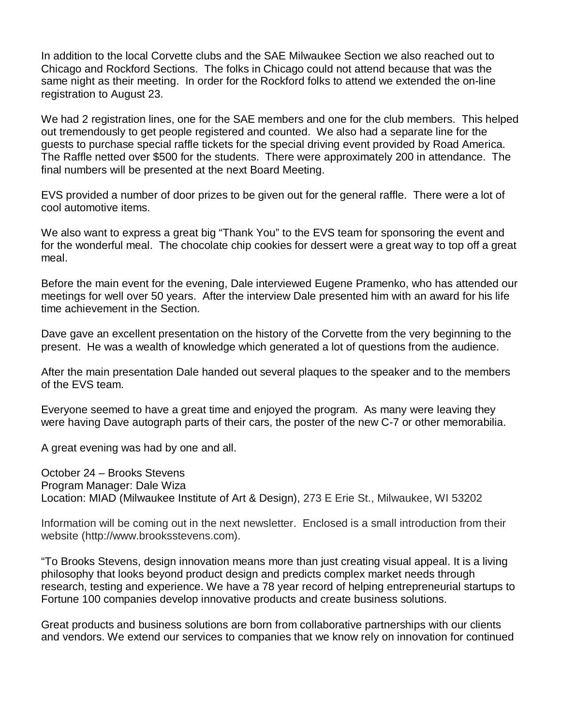In addition to the local Corvette clubs and the SAE Milwaukee Section we also reached out to Chicago and Rockford Sections. The folks in Chicago could not attend because that was the same night as their meeting. In order for the Rockford folks to attend we extended the on-line registration to August 23.

We had 2 registration lines, one for the SAE members and one for the club members. This helped out tremendously to get people registered and counted. We also had a separate line for the guests to purchase special raffle tickets for the special driving event provided by Road America. The Raffle netted over \$500 for the students. There were approximately 200 in attendance. The final numbers will be presented at the next Board Meeting.

EVS provided a number of door prizes to be given out for the general raffle. There were a lot of cool automotive items.

We also want to express a great big "Thank You" to the EVS team for sponsoring the event and for the wonderful meal. The chocolate chip cookies for dessert were a great way to top off a great meal.

Before the main event for the evening, Dale interviewed Eugene Pramenko, who has attended our meetings for well over 50 years. After the interview Dale presented him with an award for his life time achievement in the Section.

Dave gave an excellent presentation on the history of the Corvette from the very beginning to the present. He was a wealth of knowledge which generated a lot of questions from the audience.

After the main presentation Dale handed out several plaques to the speaker and to the members of the EVS team.

Everyone seemed to have a great time and enjoyed the program. As many were leaving they were having Dave autograph parts of their cars, the poster of the new C-7 or other memorabilia.

A great evening was had by one and all.

October 24 – Brooks Stevens Program Manager: Dale Wiza Location: MIAD (Milwaukee Institute of Art & Design), 273 E Erie St., Milwaukee, WI 53202

Information will be coming out in the next newsletter. Enclosed is a small introduction from their website (http://www.brooksstevens.com).

"To Brooks Stevens, design innovation means more than just creating visual appeal. It is a living philosophy that looks beyond product design and predicts complex market needs through research, testing and experience. We have a 78 year record of helping entrepreneurial startups to Fortune 100 companies develop innovative products and create business solutions.

Great products and business solutions are born from collaborative partnerships with our clients and vendors. We extend our services to companies that we know rely on innovation for continued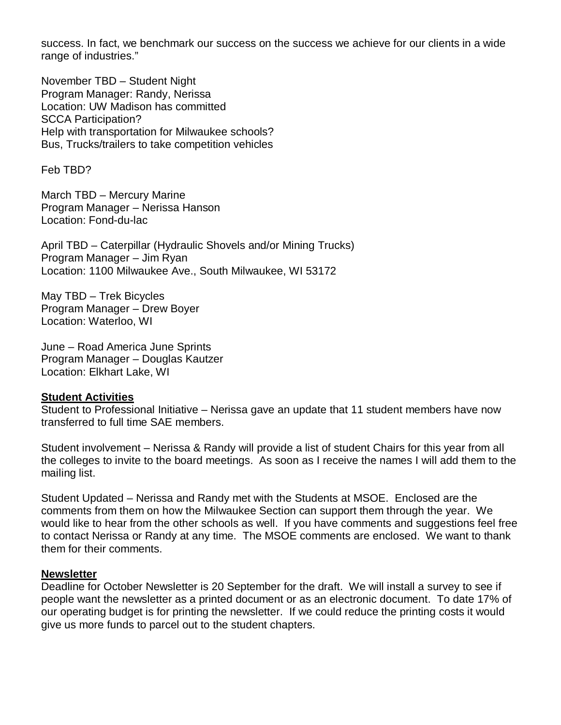success. In fact, we benchmark our success on the success we achieve for our clients in a wide range of industries."

November TBD – Student Night Program Manager: Randy, Nerissa Location: UW Madison has committed SCCA Participation? Help with transportation for Milwaukee schools? Bus, Trucks/trailers to take competition vehicles

Feb TBD?

March TBD – Mercury Marine Program Manager – Nerissa Hanson Location: Fond-du-lac

April TBD – Caterpillar (Hydraulic Shovels and/or Mining Trucks) Program Manager – Jim Ryan Location: 1100 Milwaukee Ave., South Milwaukee, WI 53172

May TBD – Trek Bicycles Program Manager – Drew Boyer Location: Waterloo, WI

June – Road America June Sprints Program Manager – Douglas Kautzer Location: Elkhart Lake, WI

#### **Student Activities**

Student to Professional Initiative – Nerissa gave an update that 11 student members have now transferred to full time SAE members.

Student involvement – Nerissa & Randy will provide a list of student Chairs for this year from all the colleges to invite to the board meetings. As soon as I receive the names I will add them to the mailing list.

Student Updated – Nerissa and Randy met with the Students at MSOE. Enclosed are the comments from them on how the Milwaukee Section can support them through the year. We would like to hear from the other schools as well. If you have comments and suggestions feel free to contact Nerissa or Randy at any time. The MSOE comments are enclosed. We want to thank them for their comments.

#### **Newsletter**

Deadline for October Newsletter is 20 September for the draft. We will install a survey to see if people want the newsletter as a printed document or as an electronic document. To date 17% of our operating budget is for printing the newsletter. If we could reduce the printing costs it would give us more funds to parcel out to the student chapters.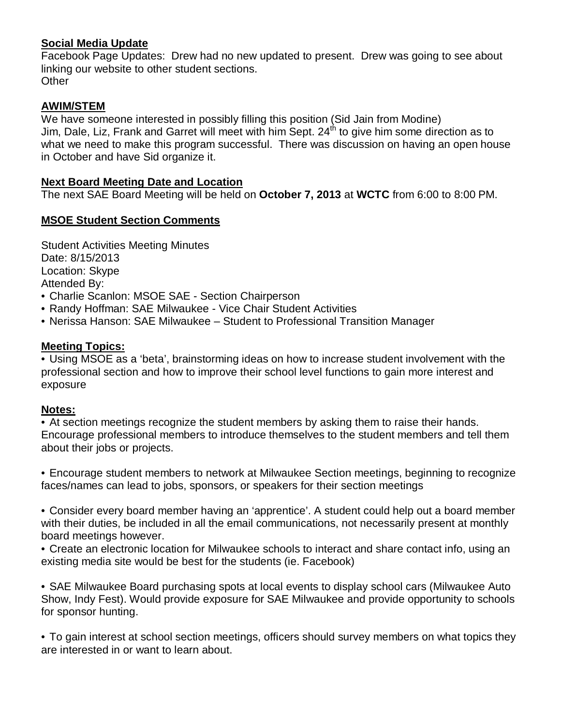# **Social Media Update**

Facebook Page Updates: Drew had no new updated to present. Drew was going to see about linking our website to other student sections. **Other** 

# **AWIM/STEM**

We have someone interested in possibly filling this position (Sid Jain from Modine) Jim, Dale, Liz, Frank and Garret will meet with him Sept. 24<sup>th</sup> to give him some direction as to what we need to make this program successful. There was discussion on having an open house in October and have Sid organize it.

## **Next Board Meeting Date and Location**

The next SAE Board Meeting will be held on **October 7, 2013** at **WCTC** from 6:00 to 8:00 PM.

## **MSOE Student Section Comments**

Student Activities Meeting Minutes Date: 8/15/2013 Location: Skype Attended By:

- Charlie Scanlon: MSOE SAE Section Chairperson
- Randy Hoffman: SAE Milwaukee Vice Chair Student Activities
- Nerissa Hanson: SAE Milwaukee Student to Professional Transition Manager

## **Meeting Topics:**

• Using MSOE as a 'beta', brainstorming ideas on how to increase student involvement with the professional section and how to improve their school level functions to gain more interest and exposure

#### **Notes:**

• At section meetings recognize the student members by asking them to raise their hands. Encourage professional members to introduce themselves to the student members and tell them about their jobs or projects.

• Encourage student members to network at Milwaukee Section meetings, beginning to recognize faces/names can lead to jobs, sponsors, or speakers for their section meetings

• Consider every board member having an 'apprentice'. A student could help out a board member with their duties, be included in all the email communications, not necessarily present at monthly board meetings however.

• Create an electronic location for Milwaukee schools to interact and share contact info, using an existing media site would be best for the students (ie. Facebook)

• SAE Milwaukee Board purchasing spots at local events to display school cars (Milwaukee Auto Show, Indy Fest). Would provide exposure for SAE Milwaukee and provide opportunity to schools for sponsor hunting.

• To gain interest at school section meetings, officers should survey members on what topics they are interested in or want to learn about.